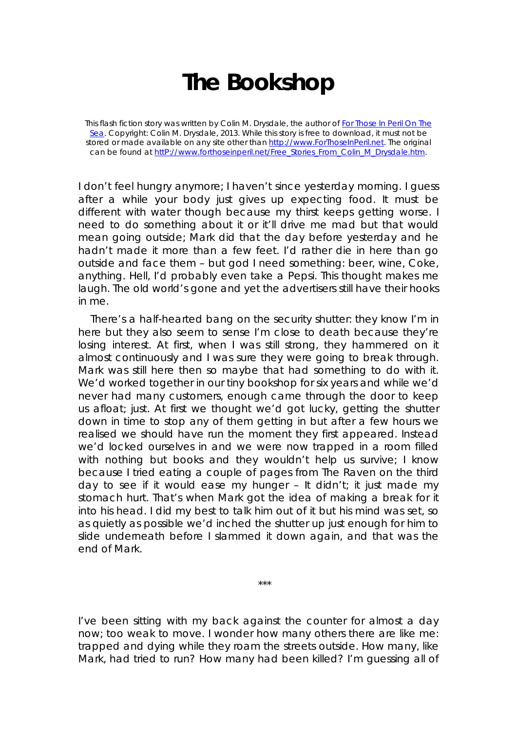## **The Bookshop**

This flash fiction story was written by Colin M. Drysdale, the author of *For Those In Peril On The Sea*. Copyright: Colin M. Drysdale, 2013. While this story is free to download, it must not be stored or made available on any site other than http://www.ForThoseInPeril.net. The original can be found at httP://www.forthoseinperil.net/Free\_Stories\_From\_Colin\_M\_Drysdale.htm.

I don't feel hungry anymore; I haven't since yesterday morning. I guess after a while your body just gives up expecting food. It must be different with water though because my thirst keeps getting worse. I need to do something about it or it'll drive me mad but that would mean going outside; Mark did that the day before yesterday and he hadn't made it more than a few feet. I'd rather die in here than go outside and face them – but god I need something: beer, wine, Coke, anything. Hell, I'd probably even take a Pepsi. This thought makes me laugh. The old world's gone and yet the advertisers still have their hooks in me.

There's a half-hearted bang on the security shutter: they know I'm in here but they also seem to sense I'm close to death because they're losing interest. At first, when I was still strong, they hammered on it almost continuously and I was sure they were going to break through. Mark was still here then so maybe that had something to do with it. We'd worked together in our tiny bookshop for six years and while we'd never had many customers, enough came through the door to keep us afloat; just. At first we thought we'd got lucky, getting the shutter down in time to stop any of them getting in but after a few hours we realised we should have run the moment they first appeared. Instead we'd locked ourselves in and we were now trapped in a room filled with nothing but books and they wouldn't help us survive; I know because I tried eating a couple of pages from The Raven on the third day to see if it would ease my hunger – It didn't; it just made my stomach hurt. That's when Mark got the idea of making a break for it into his head. I did my best to talk him out of it but his mind was set, so as quietly as possible we'd inched the shutter up just enough for him to slide underneath before I slammed it down again, and that was the end of Mark.

I've been sitting with my back against the counter for almost a day now; too weak to move. I wonder how many others there are like me: trapped and dying while they roam the streets outside. How many, like Mark, had tried to run? How many had been killed? I'm guessing all of

\*\*\*